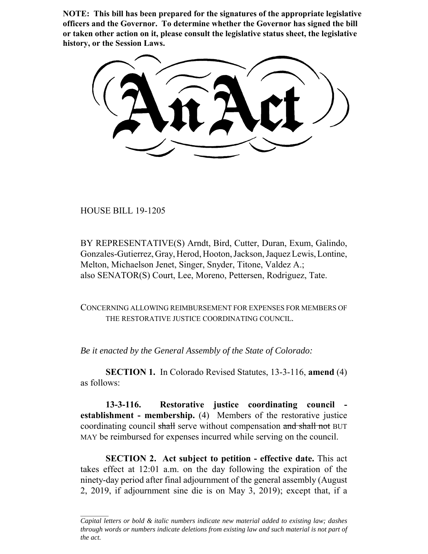**NOTE: This bill has been prepared for the signatures of the appropriate legislative officers and the Governor. To determine whether the Governor has signed the bill or taken other action on it, please consult the legislative status sheet, the legislative history, or the Session Laws.**

HOUSE BILL 19-1205

BY REPRESENTATIVE(S) Arndt, Bird, Cutter, Duran, Exum, Galindo, Gonzales-Gutierrez, Gray, Herod, Hooton, Jackson, Jaquez Lewis, Lontine, Melton, Michaelson Jenet, Singer, Snyder, Titone, Valdez A.; also SENATOR(S) Court, Lee, Moreno, Pettersen, Rodriguez, Tate.

CONCERNING ALLOWING REIMBURSEMENT FOR EXPENSES FOR MEMBERS OF THE RESTORATIVE JUSTICE COORDINATING COUNCIL.

*Be it enacted by the General Assembly of the State of Colorado:*

**SECTION 1.** In Colorado Revised Statutes, 13-3-116, **amend** (4) as follows:

**13-3-116. Restorative justice coordinating council establishment - membership.** (4) Members of the restorative justice coordinating council shall serve without compensation and shall not BUT MAY be reimbursed for expenses incurred while serving on the council.

**SECTION 2. Act subject to petition - effective date.** This act takes effect at 12:01 a.m. on the day following the expiration of the ninety-day period after final adjournment of the general assembly (August 2, 2019, if adjournment sine die is on May 3, 2019); except that, if a

*Capital letters or bold & italic numbers indicate new material added to existing law; dashes through words or numbers indicate deletions from existing law and such material is not part of the act.*